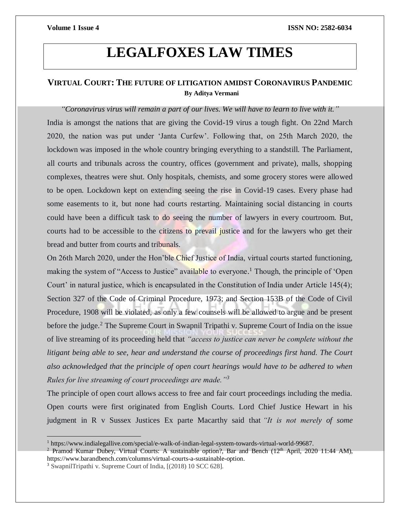# **LEGALFOXES LAW TIMES**

## **VIRTUAL COURT: THE FUTURE OF LITIGATION AMIDST CORONAVIRUS PANDEMIC By Aditya Vermani**

*"Coronavirus virus will remain a part of our lives. We will have to learn to live with it."* India is amongst the nations that are giving the Covid-19 virus a tough fight. On 22nd March 2020, the nation was put under 'Janta Curfew'. Following that, on 25th March 2020, the lockdown was imposed in the whole country bringing everything to a standstill. The Parliament, all courts and tribunals across the country, offices (government and private), malls, shopping complexes, theatres were shut. Only hospitals, chemists, and some grocery stores were allowed to be open. Lockdown kept on extending seeing the rise in Covid-19 cases. Every phase had some easements to it, but none had courts restarting. Maintaining social distancing in courts could have been a difficult task to do seeing the number of lawyers in every courtroom. But, courts had to be accessible to the citizens to prevail justice and for the lawyers who get their bread and butter from courts and tribunals.

On 26th March 2020, under the Hon'ble Chief Justice of India, virtual courts started functioning, making the system of "Access to Justice" available to everyone.<sup>1</sup> Though, the principle of 'Open Court' in natural justice, which is encapsulated in the Constitution of India under Article 145(4); Section 327 of the Code of Criminal Procedure, 1973; and Section 153B of the Code of Civil Procedure, 1908 will be violated, as only a few counsels will be allowed to argue and be present before the judge.<sup>2</sup> The Supreme Court in Swapnil Tripathi v. Supreme Court of India on the issue of live streaming of its proceeding held that *"access to justice can never be complete without the litigant being able to see, hear and understand the course of proceedings first hand. The Court also acknowledged that the principle of open court hearings would have to be adhered to when Rules for live streaming of court proceedings are made."<sup>3</sup>*

The principle of open court allows access to free and fair court proceedings including the media. Open courts were first originated from English Courts. Lord Chief Justice Hewart in his judgment in R v Sussex Justices Ex parte Macarthy said that *"It is not merely of some* 

 $\overline{a}$ 

<sup>1</sup> https://www.indialegallive.com/special/e-walk-of-indian-legal-system-towards-virtual-world-99687.

<sup>&</sup>lt;sup>2</sup> Pramod Kumar Dubey, Virtual Courts: A sustainable option?, Bar and Bench (12<sup>th</sup> April, 2020 11:44 AM), https://www.barandbench.com/columns/virtual-courts-a-sustainable-option.

<sup>3</sup> SwapnilTripathi v. Supreme Court of India, [(2018) 10 SCC 628].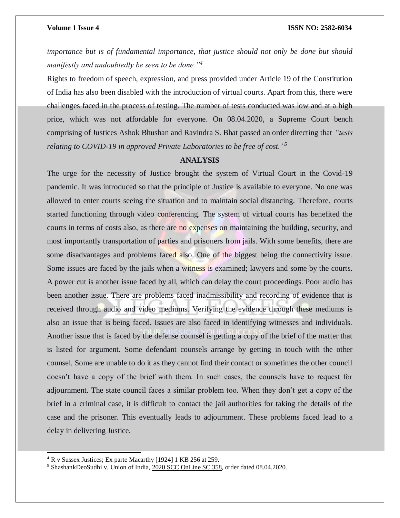#### **Volume 1 Issue 4 ISSN NO: 2582-6034**

*importance but is of fundamental importance, that justice should not only be done but should manifestly and undoubtedly be seen to be done."<sup>4</sup>*

Rights to freedom of speech, expression, and press provided under Article 19 of the Constitution of India has also been disabled with the introduction of virtual courts. Apart from this, there were challenges faced in the process of testing. The number of tests conducted was low and at a high price, which was not affordable for everyone. On 08.04.2020, a Supreme Court bench comprising of Justices Ashok Bhushan and Ravindra S. Bhat passed an order directing that *"tests relating to COVID-19 in approved Private Laboratories to be free of cost."<sup>5</sup>*

### **ANALYSIS**

The urge for the necessity of Justice brought the system of Virtual Court in the Covid-19 pandemic. It was introduced so that the principle of Justice is available to everyone. No one was allowed to enter courts seeing the situation and to maintain social distancing. Therefore, courts started functioning through video conferencing. The system of virtual courts has benefited the courts in terms of costs also, as there are no expenses on maintaining the building, security, and most importantly transportation of parties and prisoners from jails. With some benefits, there are some disadvantages and problems faced also. One of the biggest being the connectivity issue. Some issues are faced by the jails when a witness is examined; lawyers and some by the courts. A power cut is another issue faced by all, which can delay the court proceedings. Poor audio has been another issue. There are problems faced inadmissibility and recording of evidence that is received through audio and video mediums. Verifying the evidence through these mediums is also an issue that is being faced. Issues are also faced in identifying witnesses and individuals. Another issue that is faced by the defense counsel is getting a copy of the brief of the matter that is listed for argument. Some defendant counsels arrange by getting in touch with the other counsel. Some are unable to do it as they cannot find their contact or sometimes the other council doesn't have a copy of the brief with them. In such cases, the counsels have to request for adjournment. The state council faces a similar problem too. When they don't get a copy of the brief in a criminal case, it is difficult to contact the jail authorities for taking the details of the case and the prisoner. This eventually leads to adjournment. These problems faced lead to a delay in delivering Justice.

l

<sup>4</sup> R v Sussex Justices; Ex parte Macarthy [1924] 1 KB 256 at 259.

<sup>5</sup> ShashankDeoSudhi v. Union of India, 2020 SCC [OnLine](http://www.scconline.com/DocumentLink/83in43A2) SC 358, order dated 08.04.2020.